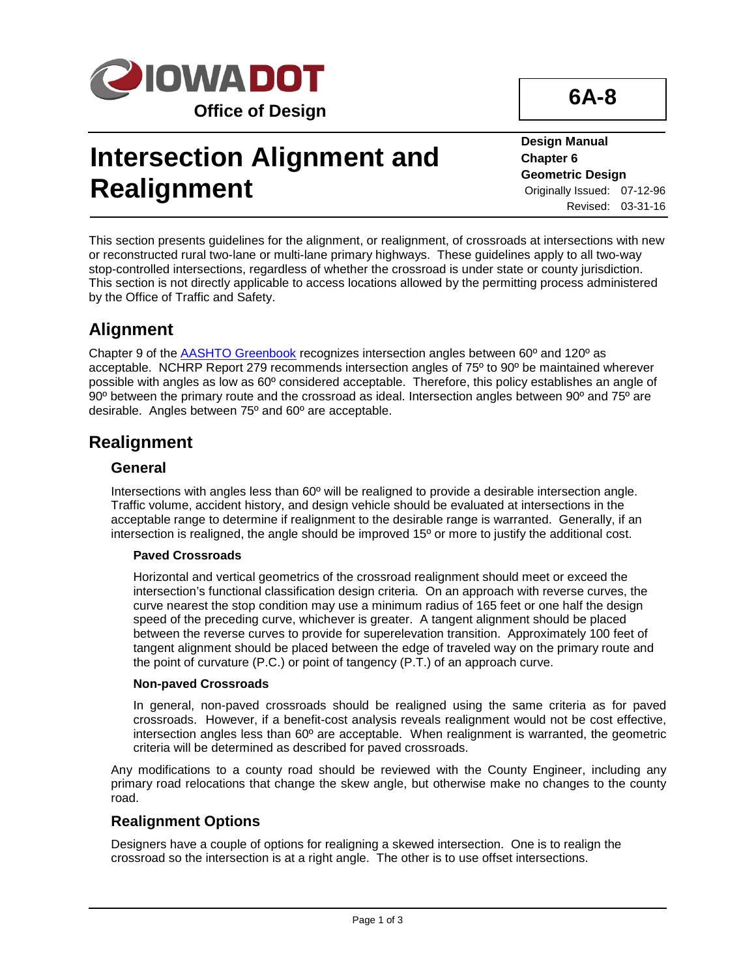

# **Intersection Alignment and Realignment**

**Design Manual Chapter 6 Geometric Design** Originally Issued: 07-12-96 Revised: 03-31-16

**6A-8**

This section presents guidelines for the alignment, or realignment, of crossroads at intersections with new or reconstructed rural two-lane or multi-lane primary highways. These guidelines apply to all two-way stop-controlled intersections, regardless of whether the crossroad is under state or county jurisdiction. This section is not directly applicable to access locations allowed by the permitting process administered by the Office of Traffic and Safety.

# **Alignment**

Chapter 9 of the AASHTO Greenbook recognizes intersection angles between 60º and 120º as acceptable. NCHRP Report 279 recommends intersection angles of 75º to 90º be maintained wherever possible with angles as low as 60º considered acceptable. Therefore, this policy establishes an angle of 90º between the primary route and the crossroad as ideal. Intersection angles between 90º and 75º are desirable. Angles between 75º and 60º are acceptable.

## **Realignment**

### **General**

Intersections with angles less than 60º will be realigned to provide a desirable intersection angle. Traffic volume, accident history, and design vehicle should be evaluated at intersections in the acceptable range to determine if realignment to the desirable range is warranted. Generally, if an intersection is realigned, the angle should be improved  $15^{\circ}$  or more to justify the additional cost.

### **Paved Crossroads**

Horizontal and vertical geometrics of the crossroad realignment should meet or exceed the intersection's functional classification design criteria. On an approach with reverse curves, the curve nearest the stop condition may use a minimum radius of 165 feet or one half the design speed of the preceding curve, whichever is greater. A tangent alignment should be placed between the reverse curves to provide for superelevation transition. Approximately 100 feet of tangent alignment should be placed between the edge of traveled way on the primary route and the point of curvature (P.C.) or point of tangency (P.T.) of an approach curve.

### **Non-paved Crossroads**

In general, non-paved crossroads should be realigned using the same criteria as for paved crossroads. However, if a benefit-cost analysis reveals realignment would not be cost effective, intersection angles less than 60º are acceptable. When realignment is warranted, the geometric criteria will be determined as described for paved crossroads.

Any modifications to a county road should be reviewed with the County Engineer, including any primary road relocations that change the skew angle, but otherwise make no changes to the county road.

### **Realignment Options**

Designers have a couple of options for realigning a skewed intersection. One is to realign the crossroad so the intersection is at a right angle. The other is to use offset intersections.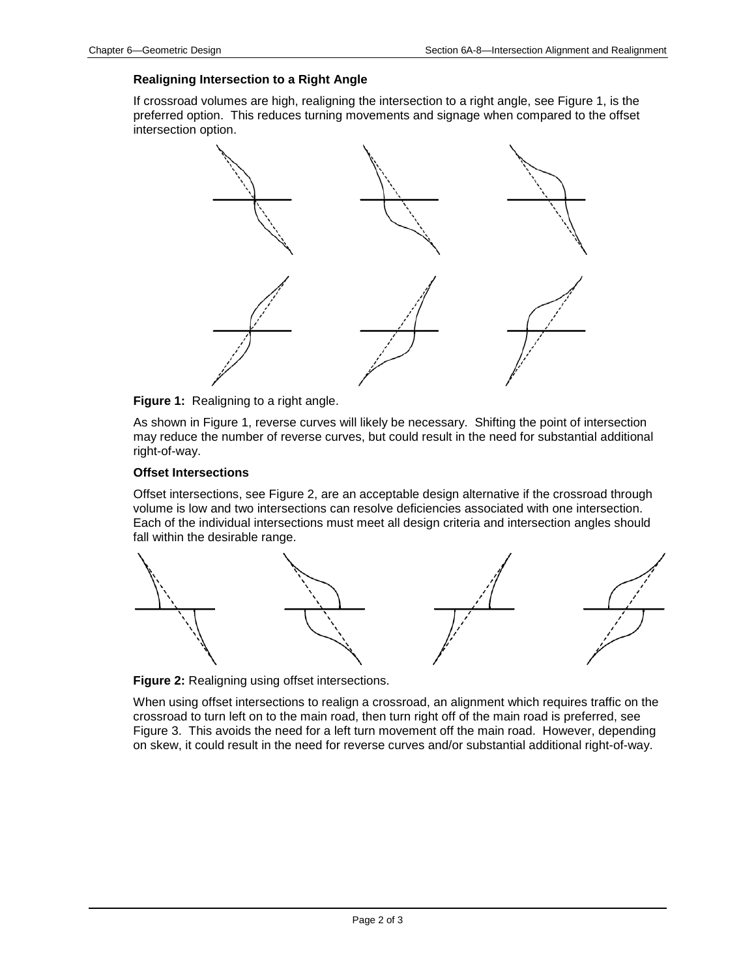#### **Realigning Intersection to a Right Angle**

If crossroad volumes are high, realigning the intersection to a right angle, see Figure 1, is the preferred option. This reduces turning movements and signage when compared to the offset intersection option.





As shown in Figure 1, reverse curves will likely be necessary. Shifting the point of intersection may reduce the number of reverse curves, but could result in the need for substantial additional right-of-way.

#### **Offset Intersections**

Offset intersections, see Figure 2, are an acceptable design alternative if the crossroad through volume is low and two intersections can resolve deficiencies associated with one intersection. Each of the individual intersections must meet all design criteria and intersection angles should fall within the desirable range.



**Figure 2:** Realigning using offset intersections.

When using offset intersections to realign a crossroad, an alignment which requires traffic on the crossroad to turn left on to the main road, then turn right off of the main road is preferred, see Figure 3. This avoids the need for a left turn movement off the main road. However, depending on skew, it could result in the need for reverse curves and/or substantial additional right-of-way.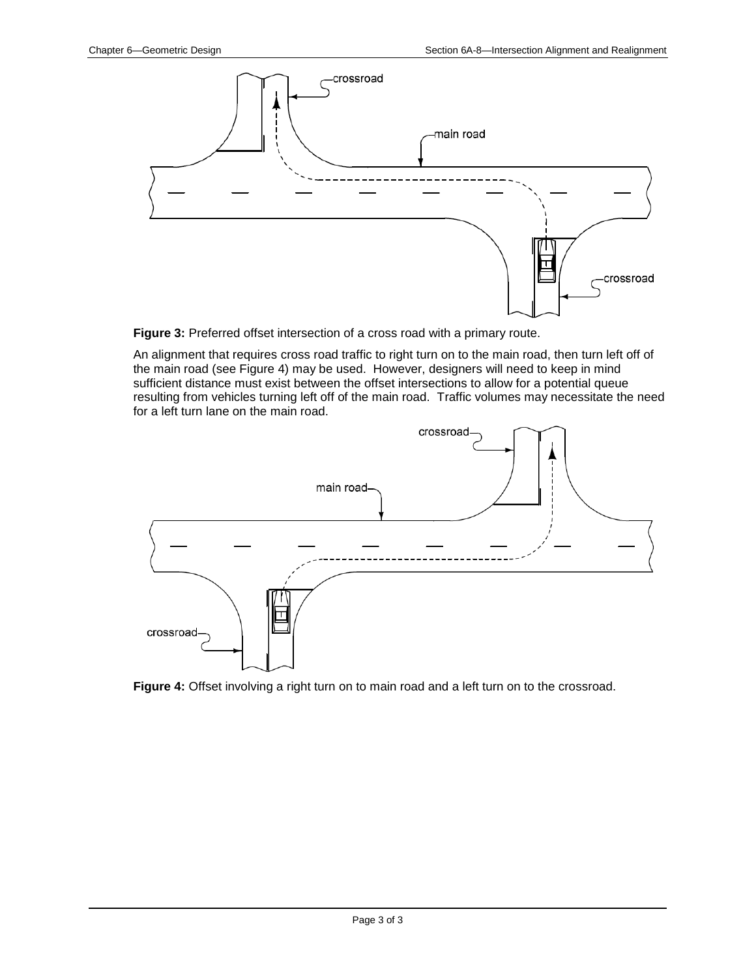

**Figure 3:** Preferred offset intersection of a cross road with a primary route.

An alignment that requires cross road traffic to right turn on to the main road, then turn left off of the main road (see Figure 4) may be used. However, designers will need to keep in mind sufficient distance must exist between the offset intersections to allow for a potential queue resulting from vehicles turning left off of the main road. Traffic volumes may necessitate the need for a left turn lane on the main road.



**Figure 4:** Offset involving a right turn on to main road and a left turn on to the crossroad.